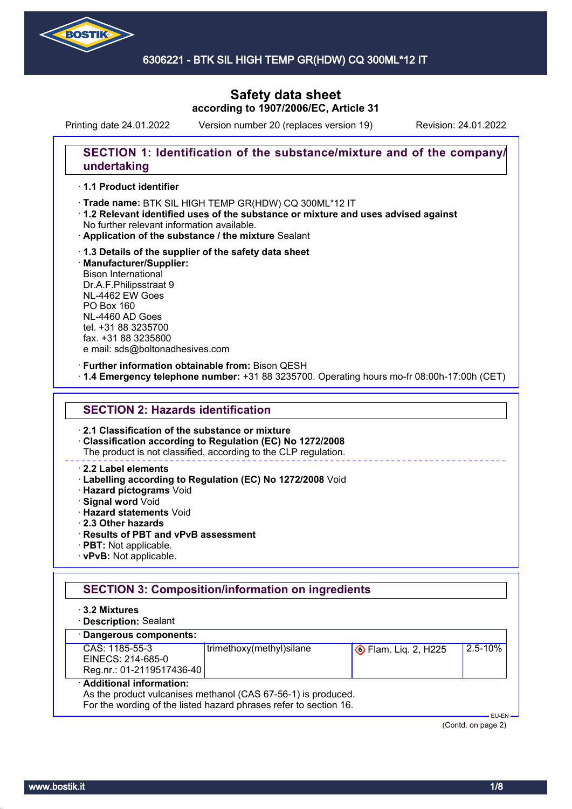

## 6306221 - BTK SIL HIGH TEMP GR(HDW) CQ 300ML\*12 IT

# **Safety data sheet according to 1907/2006/EC, Article 31**

Printing date 24.01.2022 Version number 20 (replaces version 19) Revision: 24.01.2022

## **SECTION 1: Identification of the substance/mixture and of the company/ undertaking**

### · **1.1 Product identifier**

- · Trade name: BTK SIL HIGH TEMP GR(HDW) CQ 300ML\*12 IT
- · **1.2 Relevant identified uses of the substance or mixture and uses advised against** No further relevant information available.
- · **Application of the substance / the mixture** Sealant
- · **1.3 Details of the supplier of the safety data sheet** · **Manufacturer/Supplier:** Bison International Dr.A.F.Philipsstraat 9 NL-4462 EW Goes PO Box 160 NL-4460 AD Goes tel. +31 88 3235700 fax. +31 88 3235800 e mail: sds@boltonadhesives.com

#### · **Further information obtainable from:** Bison QESH

· **1.4 Emergency telephone number:** +31 88 3235700. Operating hours mo-fr 08:00h-17:00h (CET)

### **SECTION 2: Hazards identification**

#### · **2.1 Classification of the substance or mixture**

· **Classification according to Regulation (EC) No 1272/2008**

The product is not classified, according to the CLP regulation.

### · **2.2 Label elements**

- · **Labelling according to Regulation (EC) No 1272/2008** Void
- · **Hazard pictograms** Void
- · **Signal word** Void
- · **Hazard statements** Void
- · **2.3 Other hazards**
- · **Results of PBT and vPvB assessment**
- · **PBT:** Not applicable.
- · **vPvB:** Not applicable.

## **SECTION 3: Composition/information on ingredients**

- · **3.2 Mixtures**
- · **Description:** Sealant

### · **Dangerous components:**

| CAS: 1185-55-3                                                                             | trimethoxy(methyl)silane | $\Diamond$ Flam. Liq. 2, H225 | 2.5-10% |  |
|--------------------------------------------------------------------------------------------|--------------------------|-------------------------------|---------|--|
| EINECS: 214-685-0                                                                          |                          |                               |         |  |
| Reg.nr.: 01-2119517436-40                                                                  |                          |                               |         |  |
| · Additional information:<br>As the product vulcanises methanol (CAS 67-56-1) is produced. |                          |                               |         |  |

For the wording of the listed hazard phrases refer to section 16.

 EU-EN (Contd. on page 2)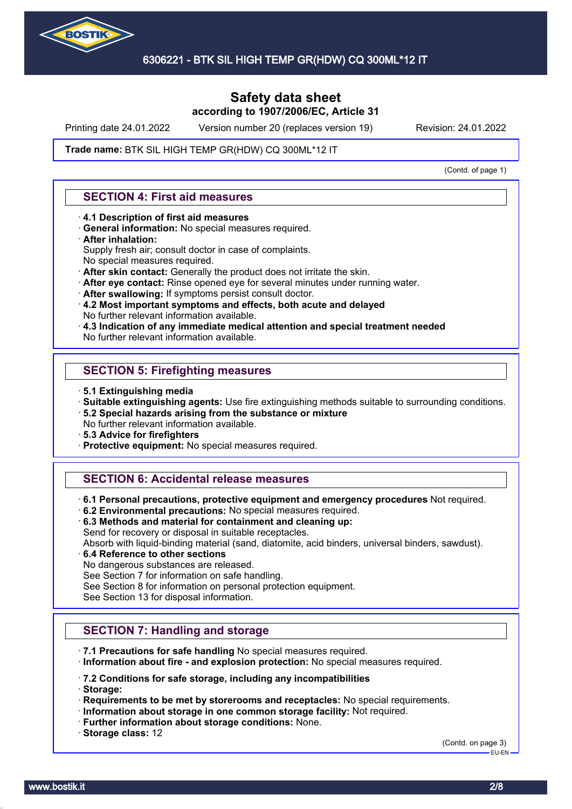

Printing date 24.01.2022 Version number 20 (replaces version 19) Revision: 24.01.2022

#### Trade name: BTK SIL HIGH TEMP GR(HDW) CQ 300ML\*12 IT

(Contd. of page 1)

## **SECTION 4: First aid measures**

- · **4.1 Description of first aid measures**
- · **General information:** No special measures required.

#### · **After inhalation:**

- Supply fresh air; consult doctor in case of complaints.
- No special measures required.
- · **After skin contact:** Generally the product does not irritate the skin.
- · **After eye contact:** Rinse opened eye for several minutes under running water.
- · **After swallowing:** If symptoms persist consult doctor.
- · **4.2 Most important symptoms and effects, both acute and delayed** No further relevant information available.
- · **4.3 Indication of any immediate medical attention and special treatment needed**
- No further relevant information available.

## **SECTION 5: Firefighting measures**

- · **5.1 Extinguishing media**
- · **Suitable extinguishing agents:** Use fire extinguishing methods suitable to surrounding conditions.
- · **5.2 Special hazards arising from the substance or mixture**
- No further relevant information available.
- · **5.3 Advice for firefighters**
- · **Protective equipment:** No special measures required.

## **SECTION 6: Accidental release measures**

- · **6.1 Personal precautions, protective equipment and emergency procedures** Not required.
- · **6.2 Environmental precautions:** No special measures required.
- · **6.3 Methods and material for containment and cleaning up:** Send for recovery or disposal in suitable receptacles.

Absorb with liquid-binding material (sand, diatomite, acid binders, universal binders, sawdust).

· **6.4 Reference to other sections**

No dangerous substances are released.

See Section 7 for information on safe handling.

See Section 8 for information on personal protection equipment.

See Section 13 for disposal information.

## **SECTION 7: Handling and storage**

· **7.1 Precautions for safe handling** No special measures required.

· **Information about fire - and explosion protection:** No special measures required.

### · **7.2 Conditions for safe storage, including any incompatibilities**

· **Storage:**

- · **Requirements to be met by storerooms and receptacles:** No special requirements.
- · **Information about storage in one common storage facility:** Not required.
- · **Further information about storage conditions:** None.
- · **Storage class:** 12

(Contd. on page 3) EU-EN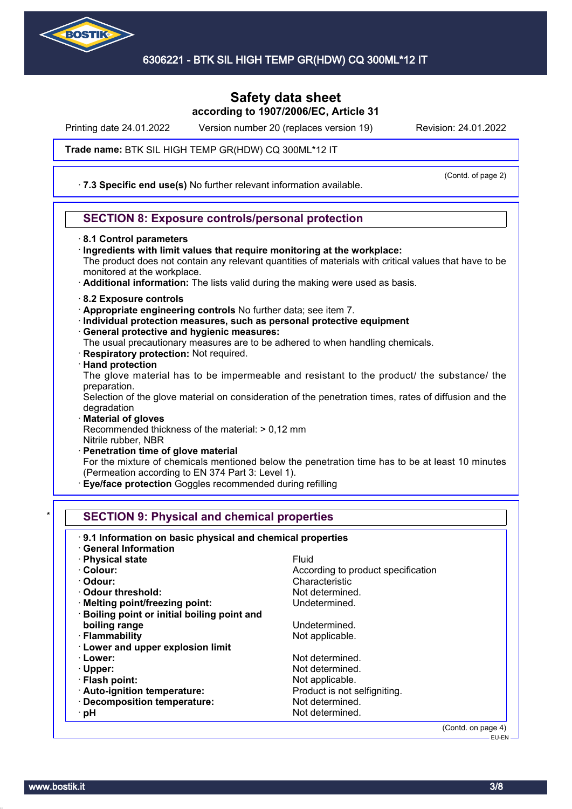

Printing date 24.01.2022 Version number 20 (replaces version 19) Revision: 24.01.2022

#### Trade name: BTK SIL HIGH TEMP GR(HDW) CQ 300ML\*12 IT

· **7.3 Specific end use(s)** No further relevant information available.

(Contd. of page 2)

## **SECTION 8: Exposure controls/personal protection**

- · **8.1 Control parameters**
- · **Ingredients with limit values that require monitoring at the workplace:** The product does not contain any relevant quantities of materials with critical values that have to be monitored at the workplace.
- · **Additional information:** The lists valid during the making were used as basis.
- · **8.2 Exposure controls**
- · **Appropriate engineering controls** No further data; see item 7.
- · **Individual protection measures, such as personal protective equipment**
- · **General protective and hygienic measures:**
- The usual precautionary measures are to be adhered to when handling chemicals.
- · **Respiratory protection:** Not required.
- · **Hand protection**

The glove material has to be impermeable and resistant to the product/ the substance/ the preparation.

Selection of the glove material on consideration of the penetration times, rates of diffusion and the degradation

- · **Material of gloves** Recommended thickness of the material: > 0,12 mm Nitrile rubber, NBR
- · **Penetration time of glove material**

For the mixture of chemicals mentioned below the penetration time has to be at least 10 minutes (Permeation according to EN 374 Part 3: Level 1).

**Eye/face protection** Goggles recommended during refilling

## **SECTION 9: Physical and chemical properties**

| · General Information<br>· Physical state    | Fluid                              |
|----------------------------------------------|------------------------------------|
| · Colour:                                    | According to product specification |
| · Odour:                                     | Characteristic                     |
| Odour threshold:                             | Not determined.                    |
| · Melting point/freezing point:              | Undetermined.                      |
| · Boiling point or initial boiling point and |                                    |
| boiling range                                | Undetermined.                      |
| · Flammability                               | Not applicable.                    |
| <b>Lower and upper explosion limit</b>       |                                    |
| · Lower:                                     | Not determined.                    |
| $\cdot$ Upper:                               | Not determined.                    |
| · Flash point:                               | Not applicable.                    |
| · Auto-ignition temperature:                 | Product is not selfigniting.       |
| · Decomposition temperature:                 | Not determined.                    |
| · pH                                         | Not determined.                    |
|                                              | (Contd. on page $4$ )              |

EU-EN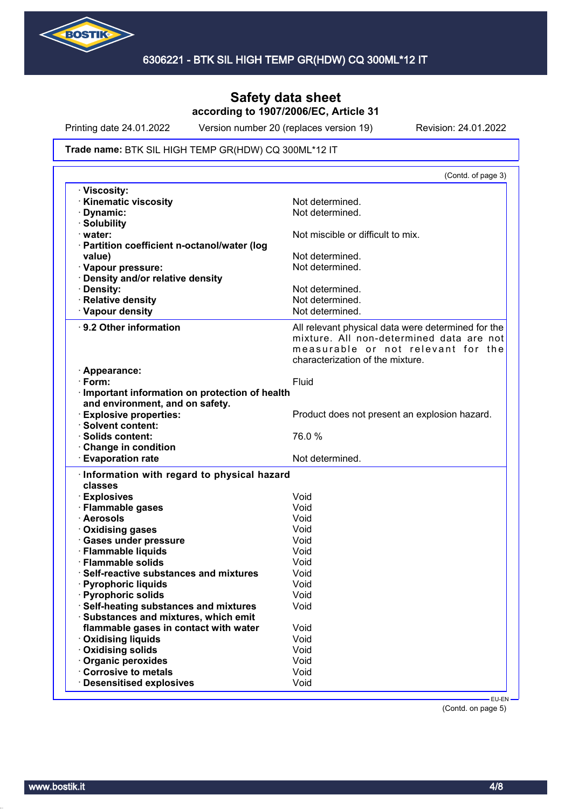

Printing date 24.01.2022 Version number 20 (replaces version 19) Revision: 24.01.2022

#### Trade name: BTK SIL HIGH TEMP GR(HDW) CQ 300ML\*12 IT

| · Viscosity:                                                                                                                                                                                                                                                                                                                                                                                                                                                                                               |                                                                                                                                                                          |
|------------------------------------------------------------------------------------------------------------------------------------------------------------------------------------------------------------------------------------------------------------------------------------------------------------------------------------------------------------------------------------------------------------------------------------------------------------------------------------------------------------|--------------------------------------------------------------------------------------------------------------------------------------------------------------------------|
| <b>Kinematic viscosity</b>                                                                                                                                                                                                                                                                                                                                                                                                                                                                                 | Not determined.                                                                                                                                                          |
| Dynamic:                                                                                                                                                                                                                                                                                                                                                                                                                                                                                                   | Not determined.                                                                                                                                                          |
| · Solubility                                                                                                                                                                                                                                                                                                                                                                                                                                                                                               |                                                                                                                                                                          |
| · water:                                                                                                                                                                                                                                                                                                                                                                                                                                                                                                   | Not miscible or difficult to mix.                                                                                                                                        |
| · Partition coefficient n-octanol/water (log                                                                                                                                                                                                                                                                                                                                                                                                                                                               |                                                                                                                                                                          |
| value)                                                                                                                                                                                                                                                                                                                                                                                                                                                                                                     | Not determined.                                                                                                                                                          |
| · Vapour pressure:                                                                                                                                                                                                                                                                                                                                                                                                                                                                                         | Not determined.                                                                                                                                                          |
| Density and/or relative density                                                                                                                                                                                                                                                                                                                                                                                                                                                                            |                                                                                                                                                                          |
| · Density:                                                                                                                                                                                                                                                                                                                                                                                                                                                                                                 | Not determined.                                                                                                                                                          |
| · Relative density                                                                                                                                                                                                                                                                                                                                                                                                                                                                                         | Not determined.                                                                                                                                                          |
| · Vapour density                                                                                                                                                                                                                                                                                                                                                                                                                                                                                           | Not determined.                                                                                                                                                          |
| 9.2 Other information                                                                                                                                                                                                                                                                                                                                                                                                                                                                                      | All relevant physical data were determined for the<br>mixture. All non-determined data are not<br>measurable or not relevant for the<br>characterization of the mixture. |
| · Appearance:                                                                                                                                                                                                                                                                                                                                                                                                                                                                                              |                                                                                                                                                                          |
| $\cdot$ Form:                                                                                                                                                                                                                                                                                                                                                                                                                                                                                              | Fluid                                                                                                                                                                    |
| · Important information on protection of health                                                                                                                                                                                                                                                                                                                                                                                                                                                            |                                                                                                                                                                          |
| and environment, and on safety.                                                                                                                                                                                                                                                                                                                                                                                                                                                                            |                                                                                                                                                                          |
| <b>Explosive properties:</b>                                                                                                                                                                                                                                                                                                                                                                                                                                                                               | Product does not present an explosion hazard.                                                                                                                            |
| · Solvent content:                                                                                                                                                                                                                                                                                                                                                                                                                                                                                         |                                                                                                                                                                          |
| · Solids content:                                                                                                                                                                                                                                                                                                                                                                                                                                                                                          | 76.0%                                                                                                                                                                    |
| Change in condition                                                                                                                                                                                                                                                                                                                                                                                                                                                                                        |                                                                                                                                                                          |
|                                                                                                                                                                                                                                                                                                                                                                                                                                                                                                            |                                                                                                                                                                          |
| <b>Evaporation rate</b>                                                                                                                                                                                                                                                                                                                                                                                                                                                                                    | Not determined.                                                                                                                                                          |
|                                                                                                                                                                                                                                                                                                                                                                                                                                                                                                            |                                                                                                                                                                          |
| classes                                                                                                                                                                                                                                                                                                                                                                                                                                                                                                    |                                                                                                                                                                          |
|                                                                                                                                                                                                                                                                                                                                                                                                                                                                                                            | Void                                                                                                                                                                     |
|                                                                                                                                                                                                                                                                                                                                                                                                                                                                                                            | Void                                                                                                                                                                     |
|                                                                                                                                                                                                                                                                                                                                                                                                                                                                                                            | Void                                                                                                                                                                     |
|                                                                                                                                                                                                                                                                                                                                                                                                                                                                                                            | Void                                                                                                                                                                     |
|                                                                                                                                                                                                                                                                                                                                                                                                                                                                                                            | Void                                                                                                                                                                     |
|                                                                                                                                                                                                                                                                                                                                                                                                                                                                                                            | Void                                                                                                                                                                     |
|                                                                                                                                                                                                                                                                                                                                                                                                                                                                                                            | Void                                                                                                                                                                     |
|                                                                                                                                                                                                                                                                                                                                                                                                                                                                                                            | Void                                                                                                                                                                     |
|                                                                                                                                                                                                                                                                                                                                                                                                                                                                                                            | Void                                                                                                                                                                     |
|                                                                                                                                                                                                                                                                                                                                                                                                                                                                                                            | Void                                                                                                                                                                     |
|                                                                                                                                                                                                                                                                                                                                                                                                                                                                                                            | Void                                                                                                                                                                     |
|                                                                                                                                                                                                                                                                                                                                                                                                                                                                                                            |                                                                                                                                                                          |
| flammable gases in contact with water                                                                                                                                                                                                                                                                                                                                                                                                                                                                      | Void                                                                                                                                                                     |
|                                                                                                                                                                                                                                                                                                                                                                                                                                                                                                            | Void                                                                                                                                                                     |
|                                                                                                                                                                                                                                                                                                                                                                                                                                                                                                            | Void                                                                                                                                                                     |
|                                                                                                                                                                                                                                                                                                                                                                                                                                                                                                            | Void                                                                                                                                                                     |
| · Information with regard to physical hazard<br>· Explosives<br>· Flammable gases<br>· Aerosols<br><b>Oxidising gases</b><br>· Gases under pressure<br>· Flammable liquids<br>· Flammable solids<br>Self-reactive substances and mixtures<br><b>Pyrophoric liquids</b><br>· Pyrophoric solids<br>Self-heating substances and mixtures<br>Substances and mixtures, which emit<br><b>Oxidising liquids</b><br>Oxidising solids<br>Organic peroxides<br>Corrosive to metals<br><b>Desensitised explosives</b> | Void                                                                                                                                                                     |

(Contd. on page 5)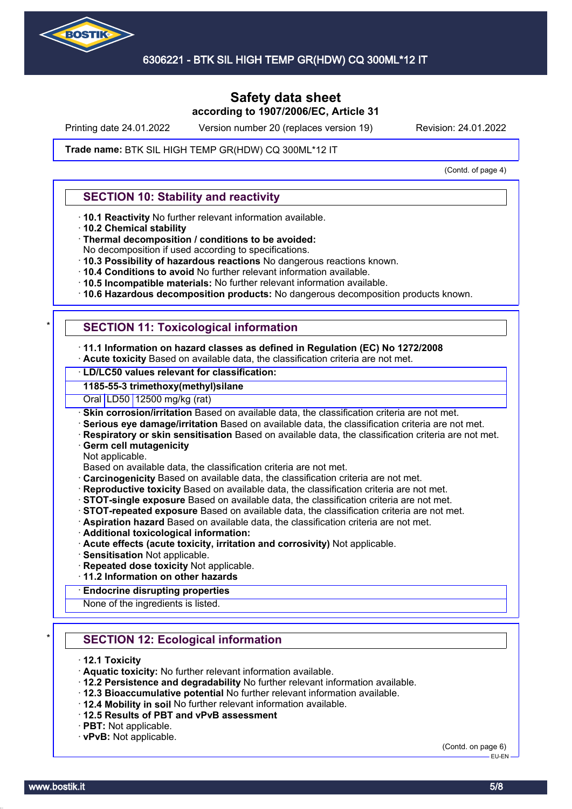

Printing date 24.01.2022 Version number 20 (replaces version 19) Revision: 24.01.2022

#### Trade name: BTK SIL HIGH TEMP GR(HDW) CQ 300ML\*12 IT

(Contd. of page 4)

## **SECTION 10: Stability and reactivity**

- · **10.1 Reactivity** No further relevant information available.
- · **10.2 Chemical stability**
- · **Thermal decomposition / conditions to be avoided:**
- No decomposition if used according to specifications.
- · **10.3 Possibility of hazardous reactions** No dangerous reactions known.
- · **10.4 Conditions to avoid** No further relevant information available.
- · **10.5 Incompatible materials:** No further relevant information available.
- · **10.6 Hazardous decomposition products:** No dangerous decomposition products known.

## **SECTION 11: Toxicological information**

#### · **11.1 Information on hazard classes as defined in Regulation (EC) No 1272/2008**

· **Acute toxicity** Based on available data, the classification criteria are not met.

## · **LD/LC50 values relevant for classification:**

## **1185-55-3 trimethoxy(methyl)silane**

Oral LD50 12500 mg/kg (rat)

· **Skin corrosion/irritation** Based on available data, the classification criteria are not met.

- · **Serious eye damage/irritation** Based on available data, the classification criteria are not met.
- · **Respiratory or skin sensitisation** Based on available data, the classification criteria are not met.
- · **Germ cell mutagenicity**
- Not applicable.
- Based on available data, the classification criteria are not met.
- · **Carcinogenicity** Based on available data, the classification criteria are not met.
- · **Reproductive toxicity** Based on available data, the classification criteria are not met.
- · **STOT-single exposure** Based on available data, the classification criteria are not met.
- · **STOT-repeated exposure** Based on available data, the classification criteria are not met.
- · **Aspiration hazard** Based on available data, the classification criteria are not met.
- · **Additional toxicological information:**
- · **Acute effects (acute toxicity, irritation and corrosivity)** Not applicable.
- · **Sensitisation** Not applicable.
- · **Repeated dose toxicity** Not applicable.
- · **11.2 Information on other hazards**

#### · **Endocrine disrupting properties**

None of the ingredients is listed.

## **SECTION 12: Ecological information**

#### · **12.1 Toxicity**

- · **Aquatic toxicity:** No further relevant information available.
- · **12.2 Persistence and degradability** No further relevant information available.
- · **12.3 Bioaccumulative potential** No further relevant information available.
- · **12.4 Mobility in soil** No further relevant information available.
- · **12.5 Results of PBT and vPvB assessment**
- · **PBT:** Not applicable.
- · **vPvB:** Not applicable.

(Contd. on page 6) EU-EN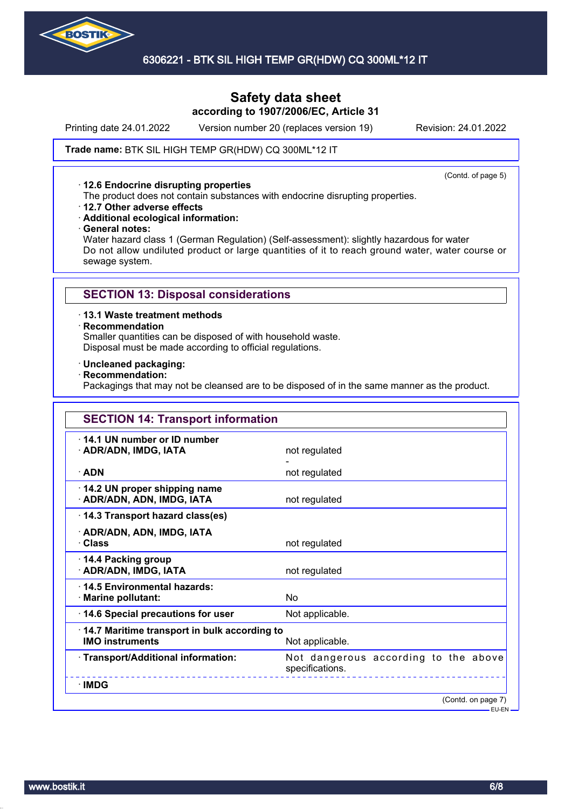

## 6306221 - BTK SIL HIGH TEMP GR(HDW) CQ 300ML\*12 IT

## **Safety data sheet according to 1907/2006/EC, Article 31**

Printing date 24.01.2022 Version number 20 (replaces version 19) Revision: 24.01.2022

#### Trade name: BTK SIL HIGH TEMP GR(HDW) CQ 300ML\*12 IT

#### · **12.6 Endocrine disrupting properties**

(Contd. of page 5)

- The product does not contain substances with endocrine disrupting properties.
- · **12.7 Other adverse effects**
- · **Additional ecological information:**
- · **General notes:**

Water hazard class 1 (German Regulation) (Self-assessment): slightly hazardous for water Do not allow undiluted product or large quantities of it to reach ground water, water course or sewage system.

### **SECTION 13: Disposal considerations**

#### · **13.1 Waste treatment methods**

#### · **Recommendation**

Smaller quantities can be disposed of with household waste. Disposal must be made according to official regulations.

### · **Uncleaned packaging:**

### · **Recommendation:**

Packagings that may not be cleansed are to be disposed of in the same manner as the product.

| <b>SECTION 14: Transport information</b>                                                  |                                                         |  |
|-------------------------------------------------------------------------------------------|---------------------------------------------------------|--|
| 14.1 UN number or ID number<br>· ADR/ADN, IMDG, IATA                                      | not regulated                                           |  |
| $\cdot$ ADN                                                                               | not regulated                                           |  |
| 14.2 UN proper shipping name<br>· ADR/ADN, ADN, IMDG, IATA                                | not regulated                                           |  |
| 14.3 Transport hazard class(es)                                                           |                                                         |  |
| · ADR/ADN, ADN, IMDG, IATA<br>· Class                                                     | not regulated                                           |  |
| 14.4 Packing group<br>· ADR/ADN, IMDG, IATA                                               | not regulated                                           |  |
| 14.5 Environmental hazards:<br>· Marine pollutant:                                        | No                                                      |  |
| 14.6 Special precautions for user                                                         | Not applicable.                                         |  |
| 14.7 Maritime transport in bulk according to<br><b>IMO instruments</b><br>Not applicable. |                                                         |  |
| · Transport/Additional information:                                                       | Not dangerous according to the above<br>specifications. |  |
| <b>IMDG</b>                                                                               |                                                         |  |
|                                                                                           | (Contd. on page 7)                                      |  |

EU-EN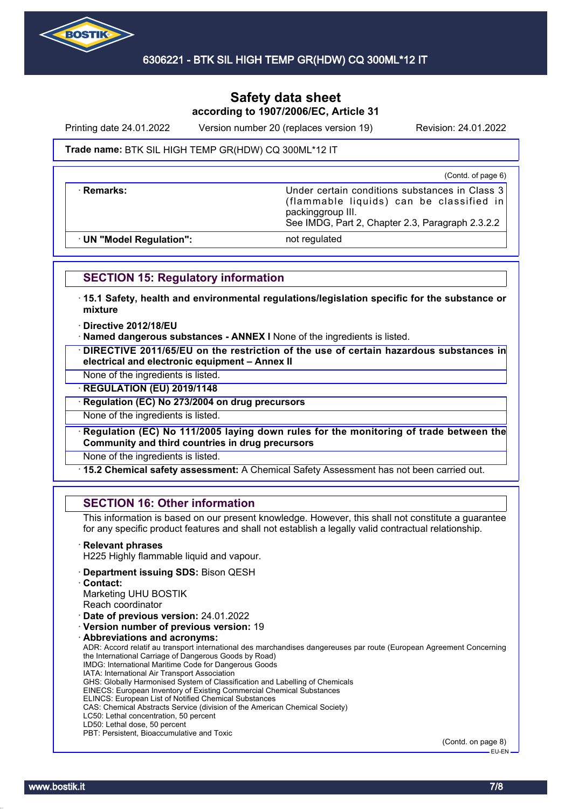

Printing date 24.01.2022 Version number 20 (replaces version 19) Revision: 24.01.2022

### Trade name: BTK SIL HIGH TEMP GR(HDW) CQ 300ML\*12 IT

(Contd. of page 6)

**Remarks:** The Class 3 **Under certain conditions substances in Class 3** (flammable liquids) can be classified in packinggroup III. See IMDG, Part 2, Chapter 2.3, Paragraph 2.3.2.2

· **UN "Model Regulation":** not regulated

## **SECTION 15: Regulatory information**

· **15.1 Safety, health and environmental regulations/legislation specific for the substance or mixture**

#### · **Directive 2012/18/EU**

· **Named dangerous substances - ANNEX I** None of the ingredients is listed.

· **DIRECTIVE 2011/65/EU on the restriction of the use of certain hazardous substances in electrical and electronic equipment – Annex II**

None of the ingredients is listed.

· **REGULATION (EU) 2019/1148**

· **Regulation (EC) No 273/2004 on drug precursors**

None of the ingredients is listed.

· **Regulation (EC) No 111/2005 laying down rules for the monitoring of trade between the Community and third countries in drug precursors**

None of the ingredients is listed.

· **15.2 Chemical safety assessment:** A Chemical Safety Assessment has not been carried out.

## **SECTION 16: Other information**

This information is based on our present knowledge. However, this shall not constitute a guarantee for any specific product features and shall not establish a legally valid contractual relationship.

#### · **Relevant phrases**

H225 Highly flammable liquid and vapour.

- · **Department issuing SDS:** Bison QESH
- · **Contact:**

Marketing UHU BOSTIK

- Reach coordinator
- · **Date of previous version:** 24.01.2022
- · **Version number of previous version:** 19
- · **Abbreviations and acronyms:**

ADR: Accord relatif au transport international des marchandises dangereuses par route (European Agreement Concerning the International Carriage of Dangerous Goods by Road) IMDG: International Maritime Code for Dangerous Goods

IATA: International Air Transport Association

GHS: Globally Harmonised System of Classification and Labelling of Chemicals

EINECS: European Inventory of Existing Commercial Chemical Substances

ELINCS: European List of Notified Chemical Substances

CAS: Chemical Abstracts Service (division of the American Chemical Society)

- LC50: Lethal concentration, 50 percent
- LD50: Lethal dose, 50 percent PBT: Persistent, Bioaccumulative and Toxic

(Contd. on page 8) EU-EN